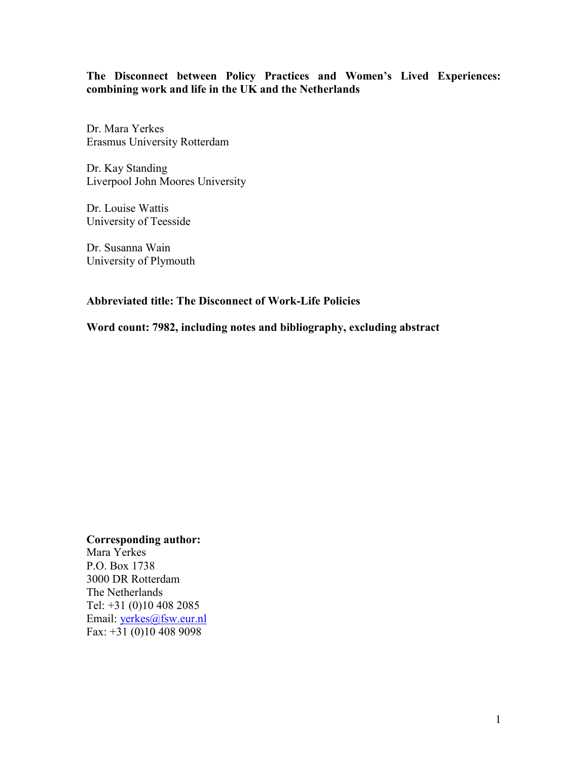# **The Disconnect between Policy Practices and Women's Lived Experiences: combining work and life in the UK and the Netherlands**

Dr. Mara Yerkes Erasmus University Rotterdam

Dr. Kay Standing Liverpool John Moores University

Dr. Louise Wattis University of Teesside

Dr. Susanna Wain University of Plymouth

**Abbreviated title: The Disconnect of Work-Life Policies**

**Word count: 7982, including notes and bibliography, excluding abstract**

### **Corresponding author:**

Mara Yerkes P.O. Box 1738 3000 DR Rotterdam The Netherlands Tel: +31 (0)10 408 2085 Email: [yerkes@fsw.eur.nl](mailto:yerkes@fsw.eur.nl) Fax: +31 (0)10 408 9098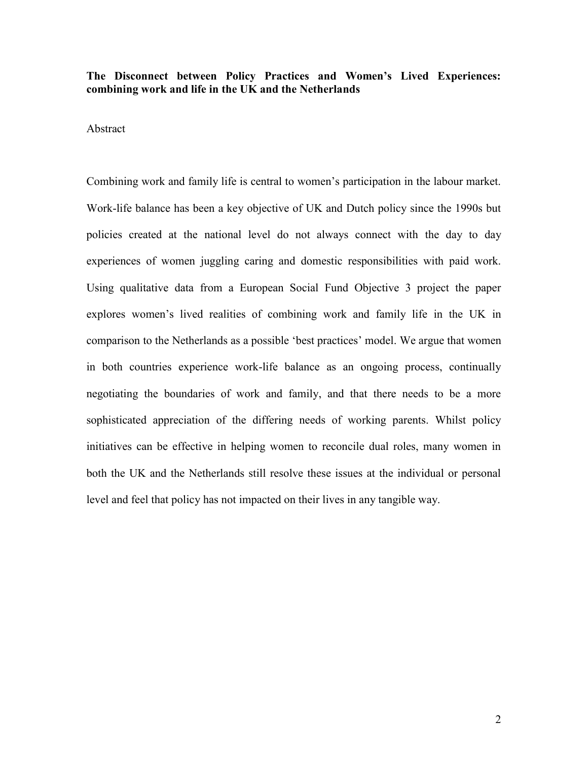# **The Disconnect between Policy Practices and Women's Lived Experiences: combining work and life in the UK and the Netherlands**

#### Abstract

Combining work and family life is central to women's participation in the labour market. Work-life balance has been a key objective of UK and Dutch policy since the 1990s but policies created at the national level do not always connect with the day to day experiences of women juggling caring and domestic responsibilities with paid work. Using qualitative data from a European Social Fund Objective 3 project the paper explores women's lived realities of combining work and family life in the UK in comparison to the Netherlands as a possible 'best practices' model. We argue that women in both countries experience work-life balance as an ongoing process, continually negotiating the boundaries of work and family, and that there needs to be a more sophisticated appreciation of the differing needs of working parents. Whilst policy initiatives can be effective in helping women to reconcile dual roles, many women in both the UK and the Netherlands still resolve these issues at the individual or personal level and feel that policy has not impacted on their lives in any tangible way.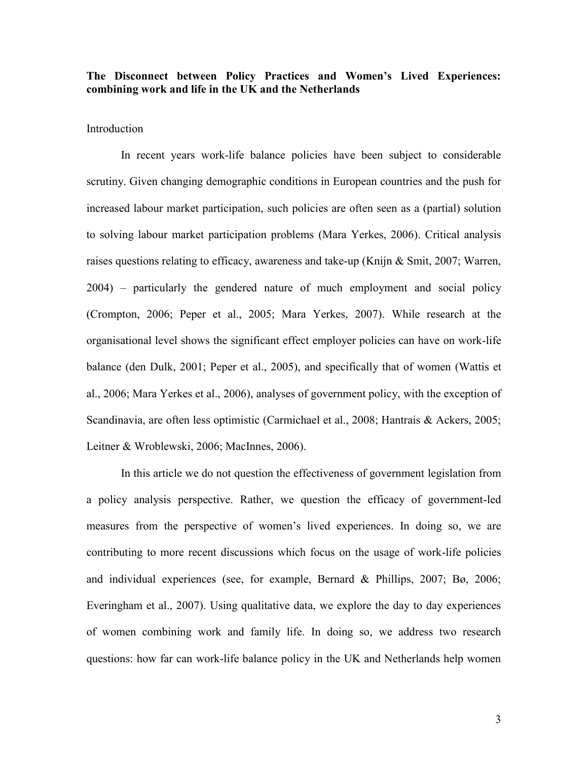# **The Disconnect between Policy Practices and Women's Lived Experiences: combining work and life in the UK and the Netherlands**

### Introduction

In recent years work-life balance policies have been subject to considerable scrutiny. Given changing demographic conditions in European countries and the push for increased labour market participation, such policies are often seen as a (partial) solution to solving labour market participation problems (Mara Yerkes, 2006). Critical analysis raises questions relating to efficacy, awareness and take-up (Knijn & Smit, 2007; Warren, 2004) – particularly the gendered nature of much employment and social policy (Crompton, 2006; Peper et al., 2005; Mara Yerkes, 2007). While research at the organisational level shows the significant effect employer policies can have on work-life balance (den Dulk, 2001; Peper et al., 2005), and specifically that of women (Wattis et al., 2006; Mara Yerkes et al., 2006), analyses of government policy, with the exception of Scandinavia, are often less optimistic (Carmichael et al., 2008; Hantrais & Ackers, 2005; Leitner & Wroblewski, 2006; MacInnes, 2006).

In this article we do not question the effectiveness of government legislation from a policy analysis perspective. Rather, we question the efficacy of government-led measures from the perspective of women's lived experiences. In doing so, we are contributing to more recent discussions which focus on the usage of work-life policies and individual experiences (see, for example, Bernard & Phillips, 2007; Bø, 2006; Everingham et al., 2007). Using qualitative data, we explore the day to day experiences of women combining work and family life. In doing so, we address two research questions: how far can work-life balance policy in the UK and Netherlands help women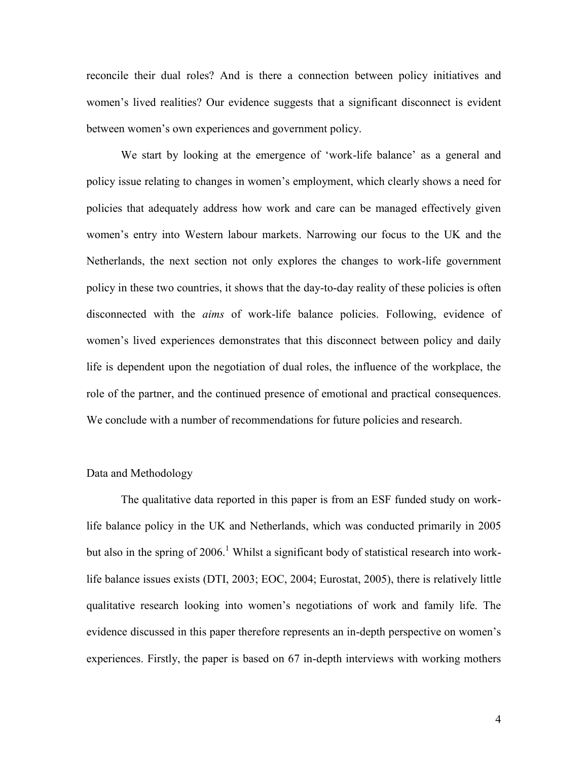reconcile their dual roles? And is there a connection between policy initiatives and women's lived realities? Our evidence suggests that a significant disconnect is evident between women's own experiences and government policy.

We start by looking at the emergence of 'work-life balance' as a general and policy issue relating to changes in women's employment, which clearly shows a need for policies that adequately address how work and care can be managed effectively given women's entry into Western labour markets. Narrowing our focus to the UK and the Netherlands, the next section not only explores the changes to work-life government policy in these two countries, it shows that the day-to-day reality of these policies is often disconnected with the *aims* of work-life balance policies. Following, evidence of women's lived experiences demonstrates that this disconnect between policy and daily life is dependent upon the negotiation of dual roles, the influence of the workplace, the role of the partner, and the continued presence of emotional and practical consequences. We conclude with a number of recommendations for future policies and research.

## Data and Methodology

The qualitative data reported in this paper is from an ESF funded study on worklife balance policy in the UK and Netherlands, which was conducted primarily in 2005 but also in the spring of 2006.<sup>1</sup> Whilst a significant body of statistical research into worklife balance issues exists (DTI, 2003; EOC, 2004; Eurostat, 2005), there is relatively little qualitative research looking into women's negotiations of work and family life. The evidence discussed in this paper therefore represents an in-depth perspective on women's experiences. Firstly, the paper is based on 67 in-depth interviews with working mothers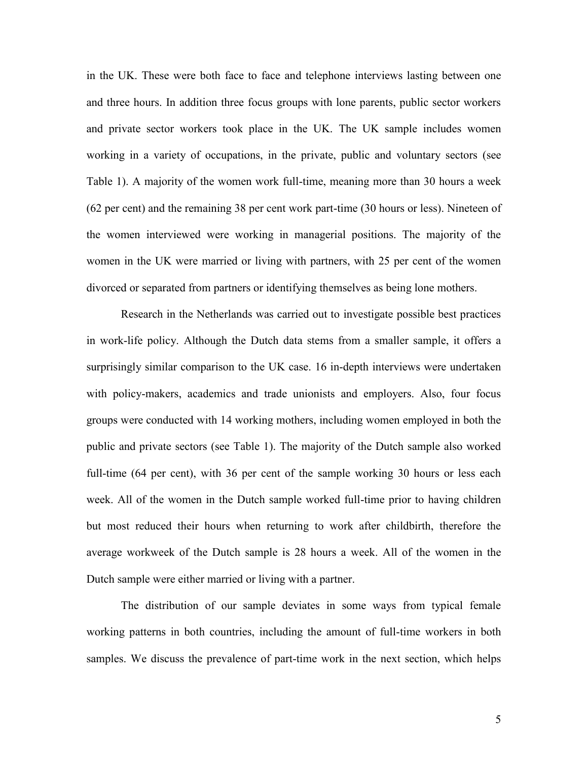in the UK. These were both face to face and telephone interviews lasting between one and three hours. In addition three focus groups with lone parents, public sector workers and private sector workers took place in the UK. The UK sample includes women working in a variety of occupations, in the private, public and voluntary sectors (see Table 1). A majority of the women work full-time, meaning more than 30 hours a week (62 per cent) and the remaining 38 per cent work part-time (30 hours or less). Nineteen of the women interviewed were working in managerial positions. The majority of the women in the UK were married or living with partners, with 25 per cent of the women divorced or separated from partners or identifying themselves as being lone mothers.

Research in the Netherlands was carried out to investigate possible best practices in work-life policy. Although the Dutch data stems from a smaller sample, it offers a surprisingly similar comparison to the UK case. 16 in-depth interviews were undertaken with policy-makers, academics and trade unionists and employers. Also, four focus groups were conducted with 14 working mothers, including women employed in both the public and private sectors (see Table 1). The majority of the Dutch sample also worked full-time (64 per cent), with 36 per cent of the sample working 30 hours or less each week. All of the women in the Dutch sample worked full-time prior to having children but most reduced their hours when returning to work after childbirth, therefore the average workweek of the Dutch sample is 28 hours a week. All of the women in the Dutch sample were either married or living with a partner.

The distribution of our sample deviates in some ways from typical female working patterns in both countries, including the amount of full-time workers in both samples. We discuss the prevalence of part-time work in the next section, which helps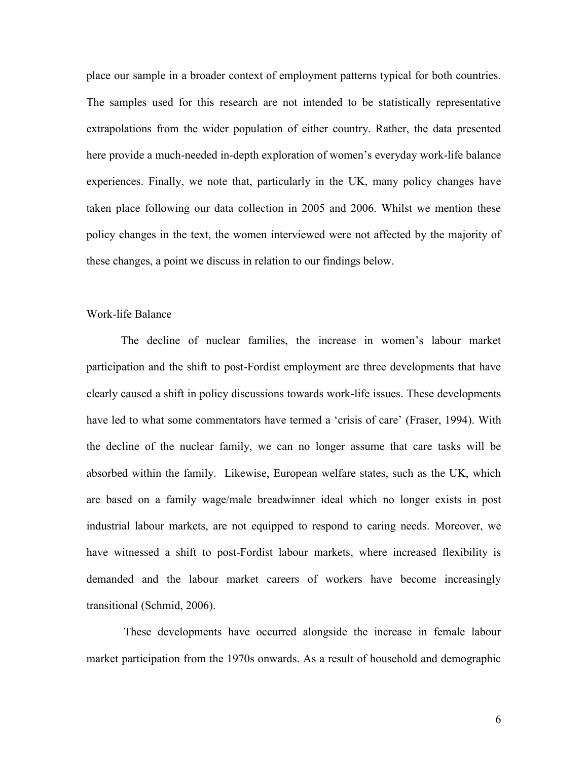place our sample in a broader context of employment patterns typical for both countries. The samples used for this research are not intended to be statistically representative extrapolations from the wider population of either country. Rather, the data presented here provide a much-needed in-depth exploration of women's everyday work-life balance experiences. Finally, we note that, particularly in the UK, many policy changes have taken place following our data collection in 2005 and 2006. Whilst we mention these policy changes in the text, the women interviewed were not affected by the majority of these changes, a point we discuss in relation to our findings below.

### Work-life Balance

The decline of nuclear families, the increase in women's labour market participation and the shift to post-Fordist employment are three developments that have clearly caused a shift in policy discussions towards work-life issues. These developments have led to what some commentators have termed a 'crisis of care' (Fraser, 1994). With the decline of the nuclear family, we can no longer assume that care tasks will be absorbed within the family. Likewise, European welfare states, such as the UK, which are based on a family wage/male breadwinner ideal which no longer exists in post industrial labour markets, are not equipped to respond to caring needs. Moreover, we have witnessed a shift to post-Fordist labour markets, where increased flexibility is demanded and the labour market careers of workers have become increasingly transitional (Schmid, 2006).

These developments have occurred alongside the increase in female labour market participation from the 1970s onwards. As a result of household and demographic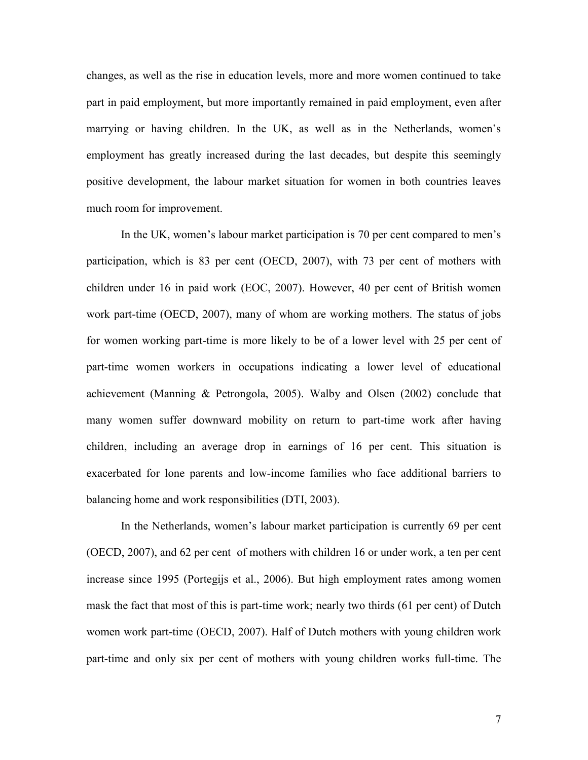changes, as well as the rise in education levels, more and more women continued to take part in paid employment, but more importantly remained in paid employment, even after marrying or having children. In the UK, as well as in the Netherlands, women's employment has greatly increased during the last decades, but despite this seemingly positive development, the labour market situation for women in both countries leaves much room for improvement.

In the UK, women's labour market participation is 70 per cent compared to men's participation, which is 83 per cent (OECD, 2007), with 73 per cent of mothers with children under 16 in paid work (EOC, 2007). However, 40 per cent of British women work part-time (OECD, 2007), many of whom are working mothers. The status of jobs for women working part-time is more likely to be of a lower level with 25 per cent of part-time women workers in occupations indicating a lower level of educational achievement (Manning & Petrongola, 2005). Walby and Olsen (2002) conclude that many women suffer downward mobility on return to part-time work after having children, including an average drop in earnings of 16 per cent. This situation is exacerbated for lone parents and low-income families who face additional barriers to balancing home and work responsibilities (DTI, 2003).

In the Netherlands, women's labour market participation is currently 69 per cent (OECD, 2007), and 62 per cent of mothers with children 16 or under work, a ten per cent increase since 1995 (Portegijs et al., 2006). But high employment rates among women mask the fact that most of this is part-time work; nearly two thirds (61 per cent) of Dutch women work part-time (OECD, 2007). Half of Dutch mothers with young children work part-time and only six per cent of mothers with young children works full-time. The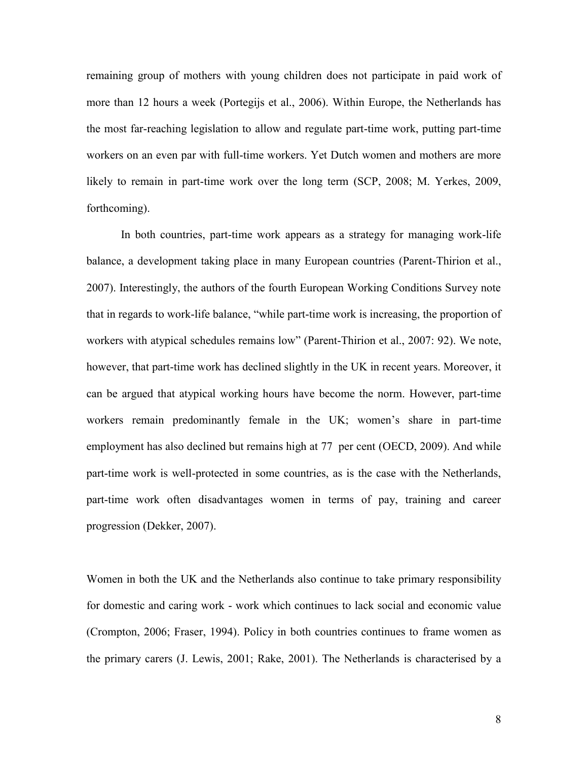remaining group of mothers with young children does not participate in paid work of more than 12 hours a week (Portegijs et al., 2006). Within Europe, the Netherlands has the most far-reaching legislation to allow and regulate part-time work, putting part-time workers on an even par with full-time workers. Yet Dutch women and mothers are more likely to remain in part-time work over the long term (SCP, 2008; M. Yerkes, 2009, forthcoming).

In both countries, part-time work appears as a strategy for managing work-life balance, a development taking place in many European countries (Parent-Thirion et al., 2007). Interestingly, the authors of the fourth European Working Conditions Survey note that in regards to work-life balance, "while part-time work is increasing, the proportion of workers with atypical schedules remains low" (Parent-Thirion et al., 2007: 92). We note, however, that part-time work has declined slightly in the UK in recent years. Moreover, it can be argued that atypical working hours have become the norm. However, part-time workers remain predominantly female in the UK; women's share in part-time employment has also declined but remains high at 77 per cent (OECD, 2009). And while part-time work is well-protected in some countries, as is the case with the Netherlands, part-time work often disadvantages women in terms of pay, training and career progression (Dekker, 2007).

Women in both the UK and the Netherlands also continue to take primary responsibility for domestic and caring work - work which continues to lack social and economic value (Crompton, 2006; Fraser, 1994). Policy in both countries continues to frame women as the primary carers (J. Lewis, 2001; Rake, 2001). The Netherlands is characterised by a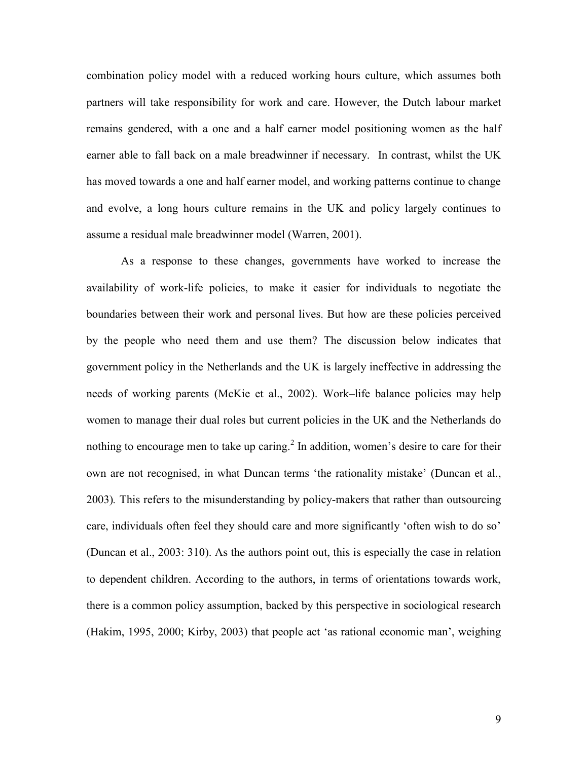combination policy model with a reduced working hours culture, which assumes both partners will take responsibility for work and care. However, the Dutch labour market remains gendered, with a one and a half earner model positioning women as the half earner able to fall back on a male breadwinner if necessary. In contrast, whilst the UK has moved towards a one and half earner model, and working patterns continue to change and evolve, a long hours culture remains in the UK and policy largely continues to assume a residual male breadwinner model (Warren, 2001).

As a response to these changes, governments have worked to increase the availability of work-life policies, to make it easier for individuals to negotiate the boundaries between their work and personal lives. But how are these policies perceived by the people who need them and use them? The discussion below indicates that government policy in the Netherlands and the UK is largely ineffective in addressing the needs of working parents (McKie et al., 2002). Work–life balance policies may help women to manage their dual roles but current policies in the UK and the Netherlands do nothing to encourage men to take up caring.<sup>2</sup> In addition, women's desire to care for their own are not recognised, in what Duncan terms 'the rationality mistake' (Duncan et al., 2003)*.* This refers to the misunderstanding by policy-makers that rather than outsourcing care, individuals often feel they should care and more significantly 'often wish to do so' (Duncan et al., 2003: 310). As the authors point out, this is especially the case in relation to dependent children. According to the authors, in terms of orientations towards work, there is a common policy assumption, backed by this perspective in sociological research (Hakim, 1995, 2000; Kirby, 2003) that people act ‗as rational economic man', weighing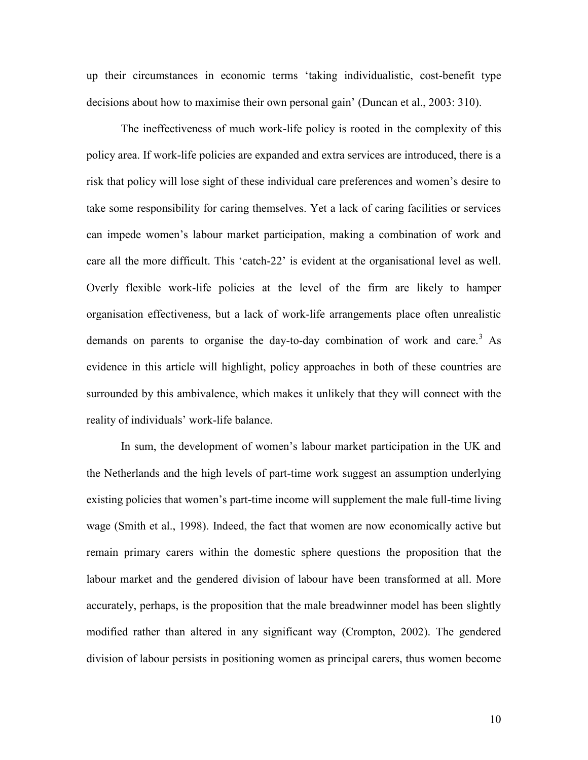up their circumstances in economic terms ‗taking individualistic, cost-benefit type decisions about how to maximise their own personal gain' (Duncan et al., 2003: 310).

The ineffectiveness of much work-life policy is rooted in the complexity of this policy area. If work-life policies are expanded and extra services are introduced, there is a risk that policy will lose sight of these individual care preferences and women's desire to take some responsibility for caring themselves. Yet a lack of caring facilities or services can impede women's labour market participation, making a combination of work and care all the more difficult. This 'catch-22' is evident at the organisational level as well. Overly flexible work-life policies at the level of the firm are likely to hamper organisation effectiveness, but a lack of work-life arrangements place often unrealistic demands on parents to organise the day-to-day combination of work and care.<sup>3</sup> As evidence in this article will highlight, policy approaches in both of these countries are surrounded by this ambivalence, which makes it unlikely that they will connect with the reality of individuals' work-life balance.

In sum, the development of women's labour market participation in the UK and the Netherlands and the high levels of part-time work suggest an assumption underlying existing policies that women's part-time income will supplement the male full-time living wage (Smith et al., 1998). Indeed, the fact that women are now economically active but remain primary carers within the domestic sphere questions the proposition that the labour market and the gendered division of labour have been transformed at all. More accurately, perhaps, is the proposition that the male breadwinner model has been slightly modified rather than altered in any significant way (Crompton, 2002). The gendered division of labour persists in positioning women as principal carers, thus women become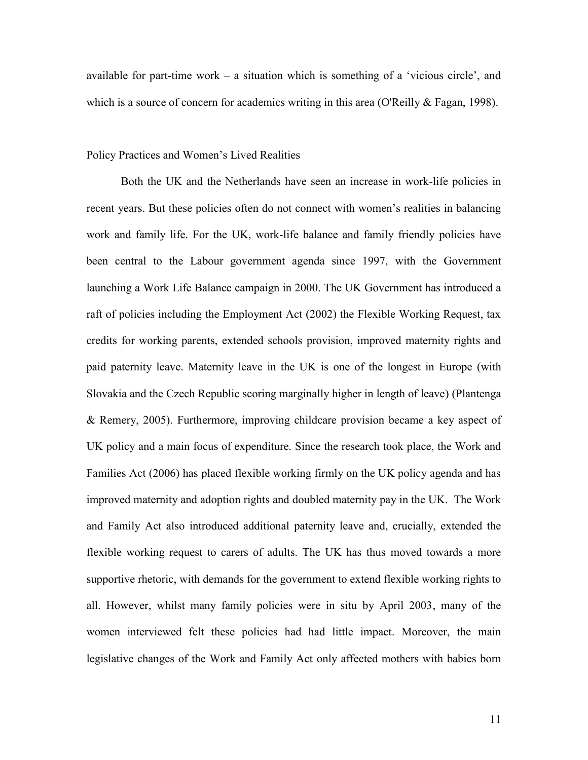available for part-time work – a situation which is something of a 'vicious circle', and which is a source of concern for academics writing in this area (O'Reilly  $&$  Fagan, 1998).

### Policy Practices and Women's Lived Realities

Both the UK and the Netherlands have seen an increase in work-life policies in recent years. But these policies often do not connect with women's realities in balancing work and family life. For the UK, work-life balance and family friendly policies have been central to the Labour government agenda since 1997, with the Government launching a Work Life Balance campaign in 2000. The UK Government has introduced a raft of policies including the Employment Act (2002) the Flexible Working Request, tax credits for working parents, extended schools provision, improved maternity rights and paid paternity leave. Maternity leave in the UK is one of the longest in Europe (with Slovakia and the Czech Republic scoring marginally higher in length of leave) (Plantenga & Remery, 2005). Furthermore, improving childcare provision became a key aspect of UK policy and a main focus of expenditure. Since the research took place, the Work and Families Act (2006) has placed flexible working firmly on the UK policy agenda and has improved maternity and adoption rights and doubled maternity pay in the UK. The Work and Family Act also introduced additional paternity leave and, crucially, extended the flexible working request to carers of adults. The UK has thus moved towards a more supportive rhetoric, with demands for the government to extend flexible working rights to all. However, whilst many family policies were in situ by April 2003, many of the women interviewed felt these policies had had little impact. Moreover, the main legislative changes of the Work and Family Act only affected mothers with babies born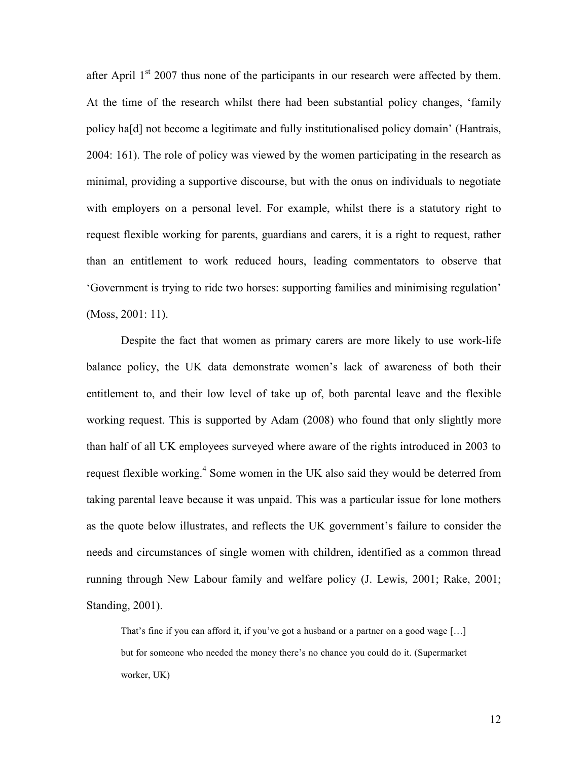after April  $1<sup>st</sup>$  2007 thus none of the participants in our research were affected by them. At the time of the research whilst there had been substantial policy changes, 'family policy ha[d] not become a legitimate and fully institutionalised policy domain' (Hantrais, 2004: 161). The role of policy was viewed by the women participating in the research as minimal, providing a supportive discourse, but with the onus on individuals to negotiate with employers on a personal level. For example, whilst there is a statutory right to request flexible working for parents, guardians and carers, it is a right to request, rather than an entitlement to work reduced hours, leading commentators to observe that ‗Government is trying to ride two horses: supporting families and minimising regulation' (Moss, 2001: 11).

Despite the fact that women as primary carers are more likely to use work-life balance policy, the UK data demonstrate women's lack of awareness of both their entitlement to, and their low level of take up of, both parental leave and the flexible working request. This is supported by Adam (2008) who found that only slightly more than half of all UK employees surveyed where aware of the rights introduced in 2003 to request flexible working.<sup>4</sup> Some women in the UK also said they would be deterred from taking parental leave because it was unpaid. This was a particular issue for lone mothers as the quote below illustrates, and reflects the UK government's failure to consider the needs and circumstances of single women with children, identified as a common thread running through New Labour family and welfare policy (J. Lewis, 2001; Rake, 2001; Standing, 2001).

That's fine if you can afford it, if you've got a husband or a partner on a good wage […] but for someone who needed the money there's no chance you could do it. (Supermarket worker, UK)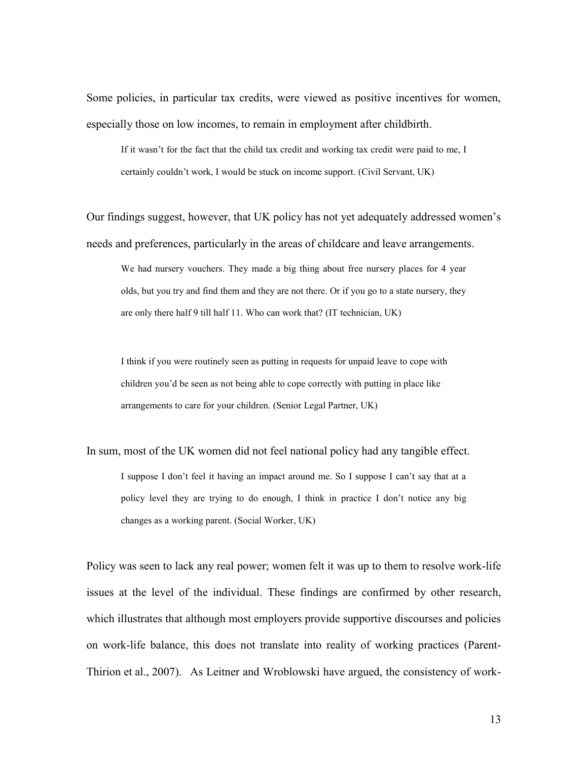Some policies, in particular tax credits, were viewed as positive incentives for women, especially those on low incomes, to remain in employment after childbirth.

If it wasn't for the fact that the child tax credit and working tax credit were paid to me, I certainly couldn't work, I would be stuck on income support. (Civil Servant, UK)

Our findings suggest, however, that UK policy has not yet adequately addressed women's needs and preferences, particularly in the areas of childcare and leave arrangements.

We had nursery vouchers. They made a big thing about free nursery places for 4 year olds, but you try and find them and they are not there. Or if you go to a state nursery, they are only there half 9 till half 11. Who can work that? (IT technician, UK)

I think if you were routinely seen as putting in requests for unpaid leave to cope with children you'd be seen as not being able to cope correctly with putting in place like arrangements to care for your children. (Senior Legal Partner, UK)

In sum, most of the UK women did not feel national policy had any tangible effect. I suppose I don't feel it having an impact around me. So I suppose I can't say that at a policy level they are trying to do enough, I think in practice I don't notice any big changes as a working parent. (Social Worker, UK)

Policy was seen to lack any real power; women felt it was up to them to resolve work-life issues at the level of the individual. These findings are confirmed by other research, which illustrates that although most employers provide supportive discourses and policies on work-life balance, this does not translate into reality of working practices (Parent-Thirion et al., 2007). As Leitner and Wroblowski have argued, the consistency of work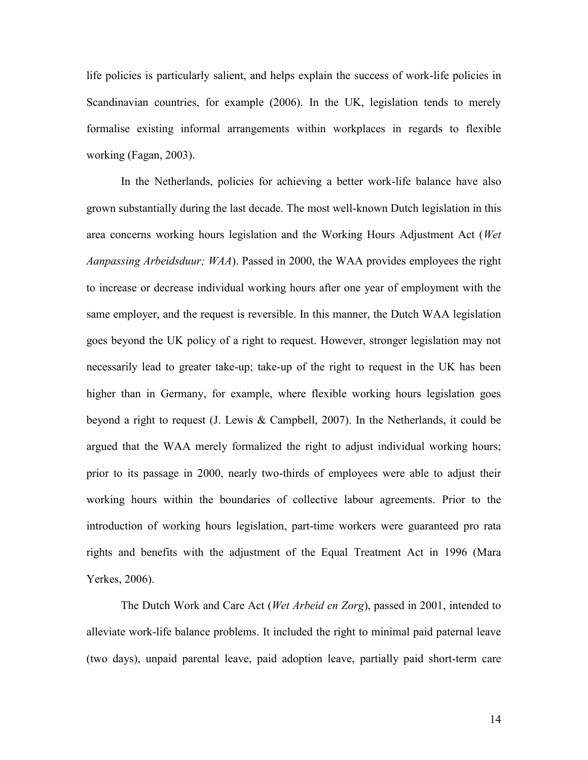life policies is particularly salient, and helps explain the success of work-life policies in Scandinavian countries, for example (2006). In the UK, legislation tends to merely formalise existing informal arrangements within workplaces in regards to flexible working (Fagan, 2003).

In the Netherlands, policies for achieving a better work-life balance have also grown substantially during the last decade. The most well-known Dutch legislation in this area concerns working hours legislation and the Working Hours Adjustment Act (*Wet Aanpassing Arbeidsduur; WAA*). Passed in 2000, the WAA provides employees the right to increase or decrease individual working hours after one year of employment with the same employer, and the request is reversible. In this manner, the Dutch WAA legislation goes beyond the UK policy of a right to request. However, stronger legislation may not necessarily lead to greater take-up; take-up of the right to request in the UK has been higher than in Germany, for example, where flexible working hours legislation goes beyond a right to request (J. Lewis & Campbell, 2007). In the Netherlands, it could be argued that the WAA merely formalized the right to adjust individual working hours; prior to its passage in 2000, nearly two-thirds of employees were able to adjust their working hours within the boundaries of collective labour agreements. Prior to the introduction of working hours legislation, part-time workers were guaranteed pro rata rights and benefits with the adjustment of the Equal Treatment Act in 1996 (Mara Yerkes, 2006).

The Dutch Work and Care Act (*Wet Arbeid en Zorg*), passed in 2001, intended to alleviate work-life balance problems. It included the right to minimal paid paternal leave (two days), unpaid parental leave, paid adoption leave, partially paid short-term care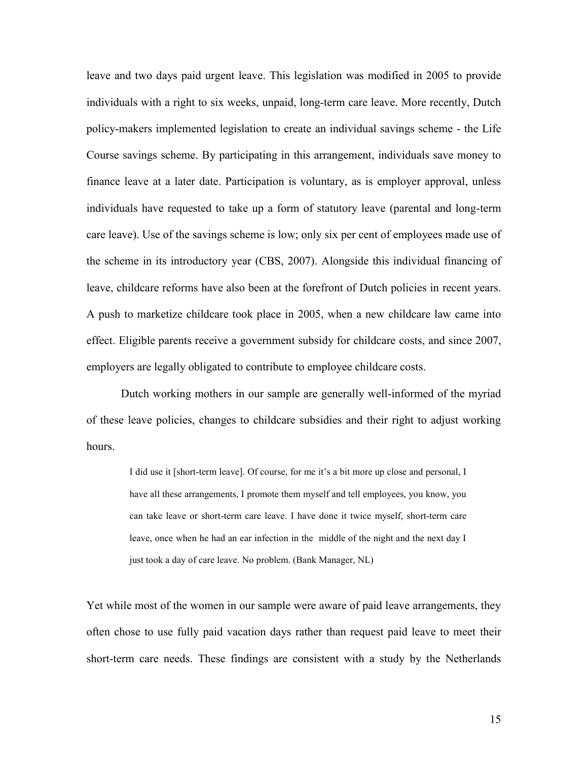leave and two days paid urgent leave. This legislation was modified in 2005 to provide individuals with a right to six weeks, unpaid, long-term care leave. More recently, Dutch policy-makers implemented legislation to create an individual savings scheme - the Life Course savings scheme. By participating in this arrangement, individuals save money to finance leave at a later date. Participation is voluntary, as is employer approval, unless individuals have requested to take up a form of statutory leave (parental and long-term care leave). Use of the savings scheme is low; only six per cent of employees made use of the scheme in its introductory year (CBS, 2007). Alongside this individual financing of leave, childcare reforms have also been at the forefront of Dutch policies in recent years. A push to marketize childcare took place in 2005, when a new childcare law came into effect. Eligible parents receive a government subsidy for childcare costs, and since 2007, employers are legally obligated to contribute to employee childcare costs.

Dutch working mothers in our sample are generally well-informed of the myriad of these leave policies, changes to childcare subsidies and their right to adjust working hours.

> I did use it [short-term leave]. Of course, for me it's a bit more up close and personal, I have all these arrangements, I promote them myself and tell employees, you know, you can take leave or short-term care leave. I have done it twice myself, short-term care leave, once when he had an ear infection in the middle of the night and the next day I just took a day of care leave. No problem. (Bank Manager, NL)

Yet while most of the women in our sample were aware of paid leave arrangements, they often chose to use fully paid vacation days rather than request paid leave to meet their short-term care needs. These findings are consistent with a study by the Netherlands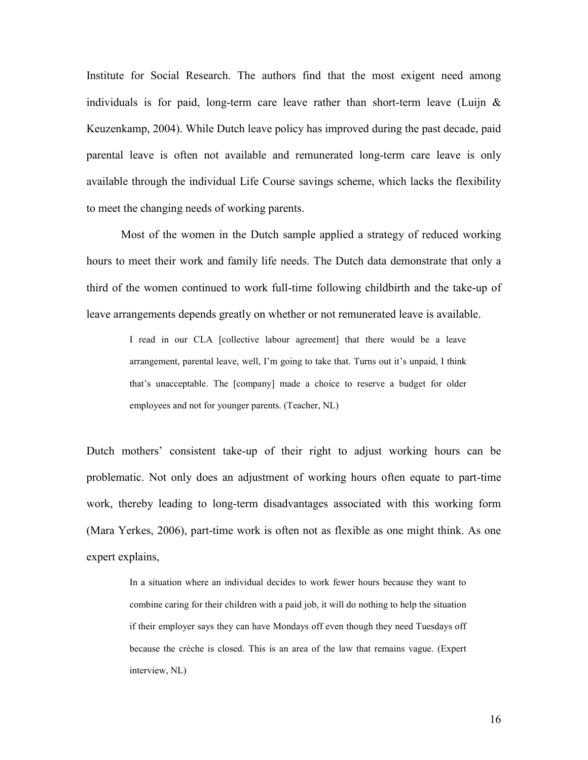Institute for Social Research. The authors find that the most exigent need among individuals is for paid, long-term care leave rather than short-term leave (Luijn  $\&$ Keuzenkamp, 2004). While Dutch leave policy has improved during the past decade, paid parental leave is often not available and remunerated long-term care leave is only available through the individual Life Course savings scheme, which lacks the flexibility to meet the changing needs of working parents.

Most of the women in the Dutch sample applied a strategy of reduced working hours to meet their work and family life needs. The Dutch data demonstrate that only a third of the women continued to work full-time following childbirth and the take-up of leave arrangements depends greatly on whether or not remunerated leave is available.

> I read in our CLA [collective labour agreement] that there would be a leave arrangement, parental leave, well, I'm going to take that. Turns out it's unpaid, I think that's unacceptable. The [company] made a choice to reserve a budget for older employees and not for younger parents. (Teacher, NL)

Dutch mothers' consistent take-up of their right to adjust working hours can be problematic. Not only does an adjustment of working hours often equate to part-time work, thereby leading to long-term disadvantages associated with this working form (Mara Yerkes, 2006), part-time work is often not as flexible as one might think. As one expert explains,

> In a situation where an individual decides to work fewer hours because they want to combine caring for their children with a paid job, it will do nothing to help the situation if their employer says they can have Mondays off even though they need Tuesdays off because the crèche is closed. This is an area of the law that remains vague. (Expert interview, NL)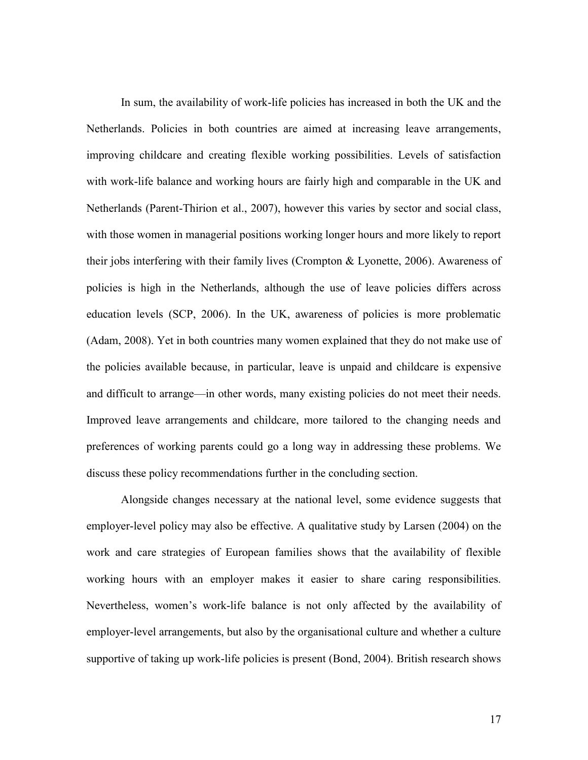In sum, the availability of work-life policies has increased in both the UK and the Netherlands. Policies in both countries are aimed at increasing leave arrangements, improving childcare and creating flexible working possibilities. Levels of satisfaction with work-life balance and working hours are fairly high and comparable in the UK and Netherlands (Parent-Thirion et al., 2007), however this varies by sector and social class, with those women in managerial positions working longer hours and more likely to report their jobs interfering with their family lives (Crompton & Lyonette, 2006). Awareness of policies is high in the Netherlands, although the use of leave policies differs across education levels (SCP, 2006). In the UK, awareness of policies is more problematic (Adam, 2008). Yet in both countries many women explained that they do not make use of the policies available because, in particular, leave is unpaid and childcare is expensive and difficult to arrange—in other words, many existing policies do not meet their needs. Improved leave arrangements and childcare, more tailored to the changing needs and preferences of working parents could go a long way in addressing these problems. We discuss these policy recommendations further in the concluding section.

Alongside changes necessary at the national level, some evidence suggests that employer-level policy may also be effective. A qualitative study by Larsen (2004) on the work and care strategies of European families shows that the availability of flexible working hours with an employer makes it easier to share caring responsibilities. Nevertheless, women's work-life balance is not only affected by the availability of employer-level arrangements, but also by the organisational culture and whether a culture supportive of taking up work-life policies is present (Bond, 2004). British research shows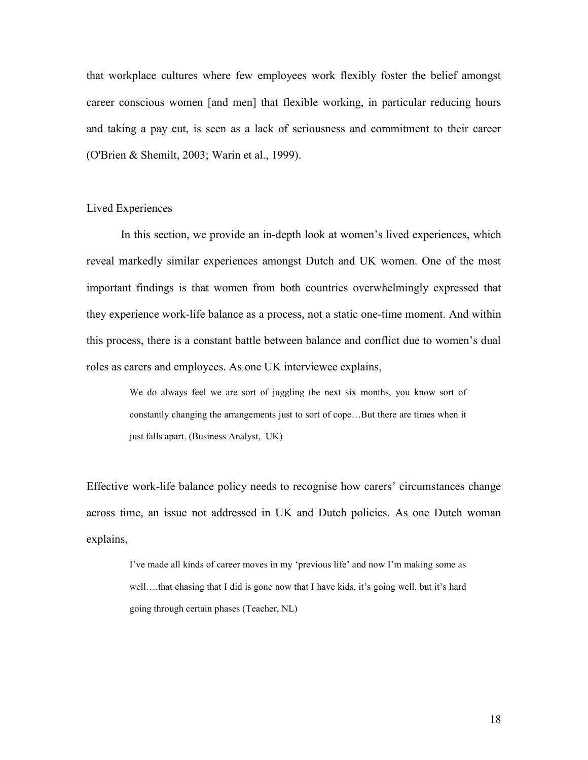that workplace cultures where few employees work flexibly foster the belief amongst career conscious women [and men] that flexible working, in particular reducing hours and taking a pay cut, is seen as a lack of seriousness and commitment to their career (O'Brien & Shemilt, 2003; Warin et al., 1999).

## Lived Experiences

In this section, we provide an in-depth look at women's lived experiences, which reveal markedly similar experiences amongst Dutch and UK women. One of the most important findings is that women from both countries overwhelmingly expressed that they experience work-life balance as a process, not a static one-time moment. And within this process, there is a constant battle between balance and conflict due to women's dual roles as carers and employees. As one UK interviewee explains,

> We do always feel we are sort of juggling the next six months, you know sort of constantly changing the arrangements just to sort of cope…But there are times when it just falls apart. (Business Analyst, UK)

Effective work-life balance policy needs to recognise how carers' circumstances change across time, an issue not addressed in UK and Dutch policies. As one Dutch woman explains,

> I've made all kinds of career moves in my 'previous life' and now I'm making some as well….that chasing that I did is gone now that I have kids, it's going well, but it's hard going through certain phases (Teacher, NL)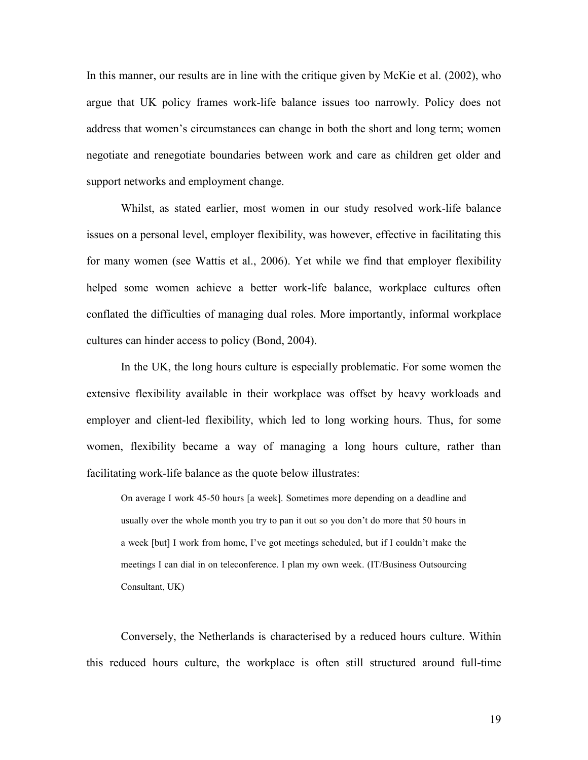In this manner, our results are in line with the critique given by McKie et al. (2002), who argue that UK policy frames work-life balance issues too narrowly. Policy does not address that women's circumstances can change in both the short and long term; women negotiate and renegotiate boundaries between work and care as children get older and support networks and employment change.

Whilst, as stated earlier, most women in our study resolved work-life balance issues on a personal level, employer flexibility, was however, effective in facilitating this for many women (see Wattis et al., 2006). Yet while we find that employer flexibility helped some women achieve a better work-life balance, workplace cultures often conflated the difficulties of managing dual roles. More importantly, informal workplace cultures can hinder access to policy (Bond, 2004).

In the UK, the long hours culture is especially problematic. For some women the extensive flexibility available in their workplace was offset by heavy workloads and employer and client-led flexibility, which led to long working hours. Thus, for some women, flexibility became a way of managing a long hours culture, rather than facilitating work-life balance as the quote below illustrates:

On average I work 45-50 hours [a week]. Sometimes more depending on a deadline and usually over the whole month you try to pan it out so you don't do more that 50 hours in a week [but] I work from home, I've got meetings scheduled, but if I couldn't make the meetings I can dial in on teleconference. I plan my own week. (IT/Business Outsourcing Consultant, UK)

Conversely, the Netherlands is characterised by a reduced hours culture. Within this reduced hours culture, the workplace is often still structured around full-time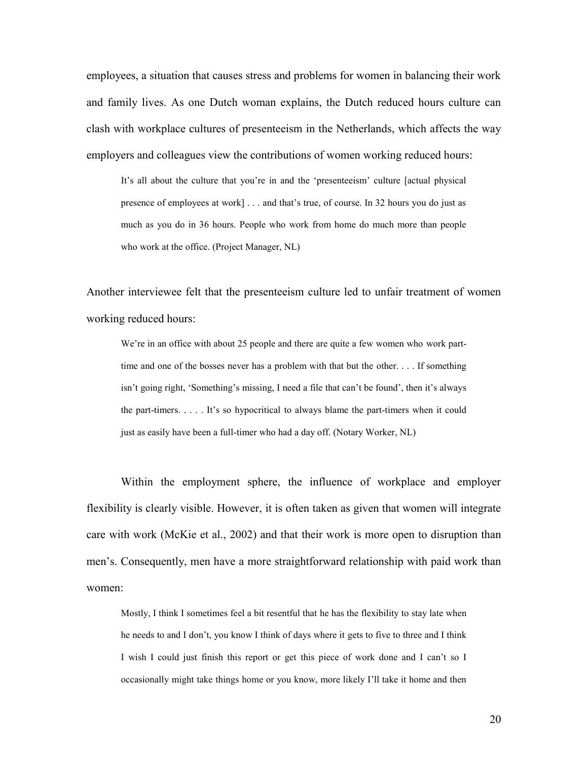employees, a situation that causes stress and problems for women in balancing their work and family lives. As one Dutch woman explains, the Dutch reduced hours culture can clash with workplace cultures of presenteeism in the Netherlands, which affects the way employers and colleagues view the contributions of women working reduced hours:

It's all about the culture that you're in and the 'presenteeism' culture [actual physical presence of employees at work] . . . and that's true, of course. In 32 hours you do just as much as you do in 36 hours. People who work from home do much more than people who work at the office. (Project Manager, NL)

Another interviewee felt that the presenteeism culture led to unfair treatment of women working reduced hours:

We're in an office with about 25 people and there are quite a few women who work parttime and one of the bosses never has a problem with that but the other. . . . If something isn't going right, ‗Something's missing, I need a file that can't be found', then it's always the part-timers. . . . . It's so hypocritical to always blame the part-timers when it could just as easily have been a full-timer who had a day off. (Notary Worker, NL)

Within the employment sphere, the influence of workplace and employer flexibility is clearly visible. However, it is often taken as given that women will integrate care with work (McKie et al., 2002) and that their work is more open to disruption than men's. Consequently, men have a more straightforward relationship with paid work than women:

Mostly, I think I sometimes feel a bit resentful that he has the flexibility to stay late when he needs to and I don't, you know I think of days where it gets to five to three and I think I wish I could just finish this report or get this piece of work done and I can't so I occasionally might take things home or you know, more likely I'll take it home and then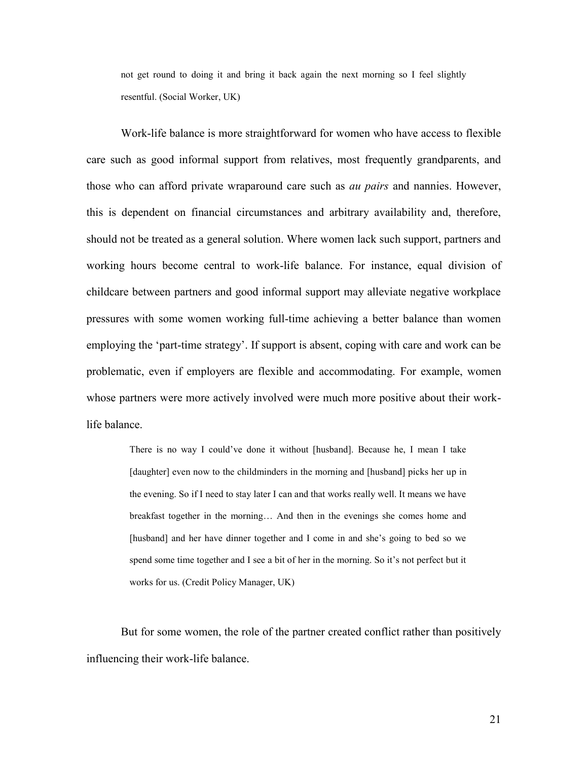not get round to doing it and bring it back again the next morning so I feel slightly resentful. (Social Worker, UK)

Work-life balance is more straightforward for women who have access to flexible care such as good informal support from relatives, most frequently grandparents, and those who can afford private wraparound care such as *au pairs* and nannies. However, this is dependent on financial circumstances and arbitrary availability and, therefore, should not be treated as a general solution. Where women lack such support, partners and working hours become central to work-life balance. For instance, equal division of childcare between partners and good informal support may alleviate negative workplace pressures with some women working full-time achieving a better balance than women employing the 'part-time strategy'. If support is absent, coping with care and work can be problematic, even if employers are flexible and accommodating. For example, women whose partners were more actively involved were much more positive about their worklife balance.

> There is no way I could've done it without [husband]. Because he, I mean I take [daughter] even now to the childminders in the morning and [husband] picks her up in the evening. So if I need to stay later I can and that works really well. It means we have breakfast together in the morning… And then in the evenings she comes home and [husband] and her have dinner together and I come in and she's going to bed so we spend some time together and I see a bit of her in the morning. So it's not perfect but it works for us. (Credit Policy Manager, UK)

But for some women, the role of the partner created conflict rather than positively influencing their work-life balance.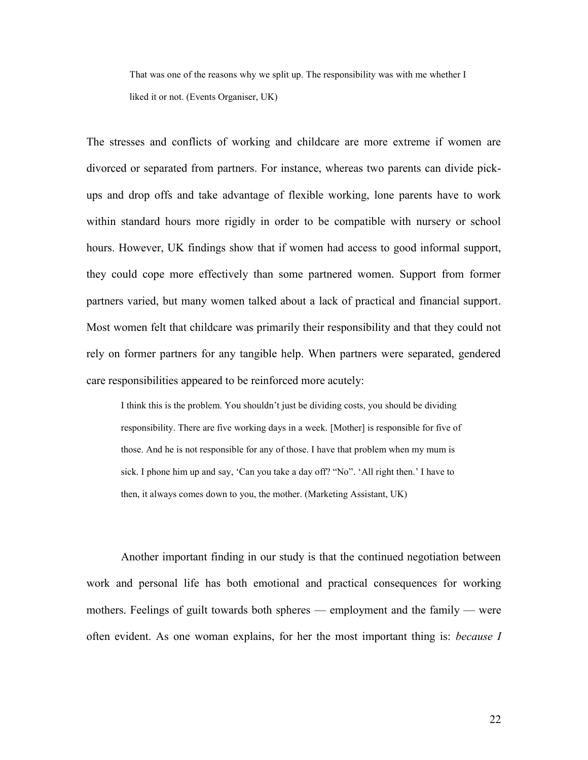That was one of the reasons why we split up. The responsibility was with me whether I liked it or not. (Events Organiser, UK)

The stresses and conflicts of working and childcare are more extreme if women are divorced or separated from partners. For instance, whereas two parents can divide pickups and drop offs and take advantage of flexible working, lone parents have to work within standard hours more rigidly in order to be compatible with nursery or school hours. However, UK findings show that if women had access to good informal support, they could cope more effectively than some partnered women. Support from former partners varied, but many women talked about a lack of practical and financial support. Most women felt that childcare was primarily their responsibility and that they could not rely on former partners for any tangible help. When partners were separated, gendered care responsibilities appeared to be reinforced more acutely:

I think this is the problem. You shouldn't just be dividing costs, you should be dividing responsibility. There are five working days in a week. [Mother] is responsible for five of those. And he is not responsible for any of those. I have that problem when my mum is sick. I phone him up and say, 'Can you take a day off?' "No". 'All right then.' I have to then, it always comes down to you, the mother. (Marketing Assistant, UK)

Another important finding in our study is that the continued negotiation between work and personal life has both emotional and practical consequences for working mothers. Feelings of guilt towards both spheres — employment and the family — were often evident. As one woman explains, for her the most important thing is: *because I*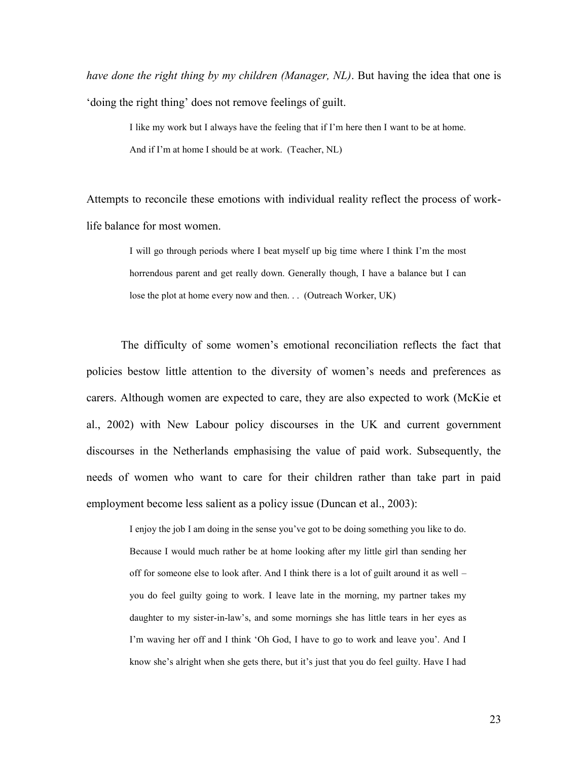*have done the right thing by my children (Manager, NL)*. But having the idea that one is ‗doing the right thing' does not remove feelings of guilt.

> I like my work but I always have the feeling that if I'm here then I want to be at home. And if I'm at home I should be at work. (Teacher, NL)

Attempts to reconcile these emotions with individual reality reflect the process of worklife balance for most women.

> I will go through periods where I beat myself up big time where I think I'm the most horrendous parent and get really down. Generally though, I have a balance but I can lose the plot at home every now and then. . . (Outreach Worker, UK)

The difficulty of some women's emotional reconciliation reflects the fact that policies bestow little attention to the diversity of women's needs and preferences as carers. Although women are expected to care, they are also expected to work (McKie et al., 2002) with New Labour policy discourses in the UK and current government discourses in the Netherlands emphasising the value of paid work. Subsequently, the needs of women who want to care for their children rather than take part in paid employment become less salient as a policy issue (Duncan et al., 2003):

> I enjoy the job I am doing in the sense you've got to be doing something you like to do. Because I would much rather be at home looking after my little girl than sending her off for someone else to look after. And I think there is a lot of guilt around it as well – you do feel guilty going to work. I leave late in the morning, my partner takes my daughter to my sister-in-law's, and some mornings she has little tears in her eyes as I'm waving her off and I think 'Oh God, I have to go to work and leave you'. And I know she's alright when she gets there, but it's just that you do feel guilty. Have I had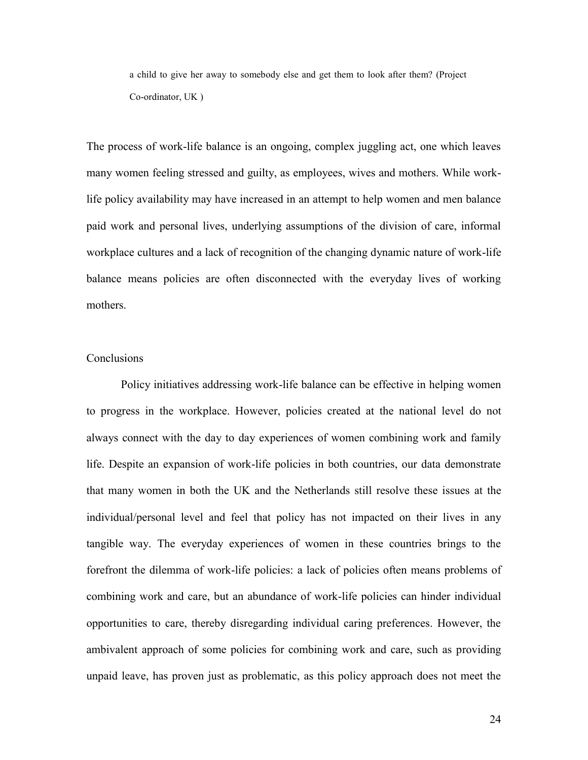a child to give her away to somebody else and get them to look after them? (Project Co-ordinator, UK )

The process of work-life balance is an ongoing, complex juggling act, one which leaves many women feeling stressed and guilty, as employees, wives and mothers. While worklife policy availability may have increased in an attempt to help women and men balance paid work and personal lives, underlying assumptions of the division of care, informal workplace cultures and a lack of recognition of the changing dynamic nature of work-life balance means policies are often disconnected with the everyday lives of working mothers.

### **Conclusions**

Policy initiatives addressing work-life balance can be effective in helping women to progress in the workplace. However, policies created at the national level do not always connect with the day to day experiences of women combining work and family life. Despite an expansion of work-life policies in both countries, our data demonstrate that many women in both the UK and the Netherlands still resolve these issues at the individual/personal level and feel that policy has not impacted on their lives in any tangible way. The everyday experiences of women in these countries brings to the forefront the dilemma of work-life policies: a lack of policies often means problems of combining work and care, but an abundance of work-life policies can hinder individual opportunities to care, thereby disregarding individual caring preferences. However, the ambivalent approach of some policies for combining work and care, such as providing unpaid leave, has proven just as problematic, as this policy approach does not meet the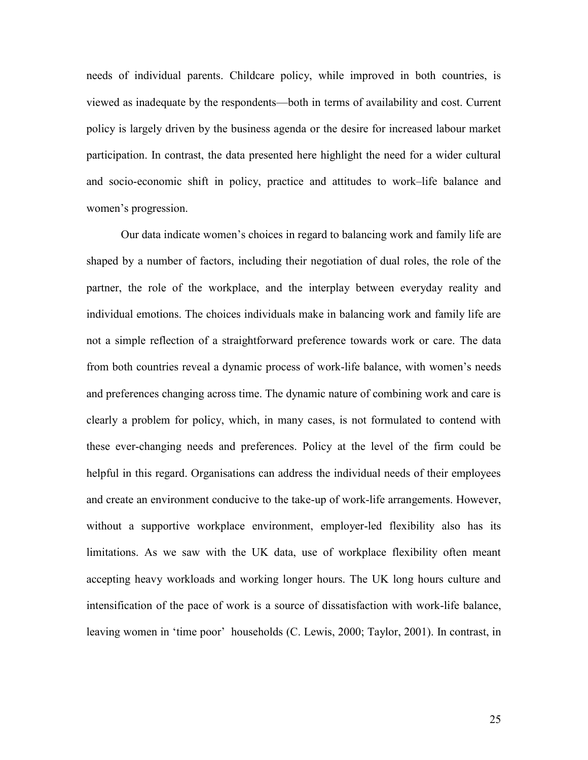needs of individual parents. Childcare policy, while improved in both countries, is viewed as inadequate by the respondents—both in terms of availability and cost. Current policy is largely driven by the business agenda or the desire for increased labour market participation. In contrast, the data presented here highlight the need for a wider cultural and socio-economic shift in policy, practice and attitudes to work–life balance and women's progression.

Our data indicate women's choices in regard to balancing work and family life are shaped by a number of factors, including their negotiation of dual roles, the role of the partner, the role of the workplace, and the interplay between everyday reality and individual emotions. The choices individuals make in balancing work and family life are not a simple reflection of a straightforward preference towards work or care. The data from both countries reveal a dynamic process of work-life balance, with women's needs and preferences changing across time. The dynamic nature of combining work and care is clearly a problem for policy, which, in many cases, is not formulated to contend with these ever-changing needs and preferences. Policy at the level of the firm could be helpful in this regard. Organisations can address the individual needs of their employees and create an environment conducive to the take-up of work-life arrangements. However, without a supportive workplace environment, employer-led flexibility also has its limitations. As we saw with the UK data, use of workplace flexibility often meant accepting heavy workloads and working longer hours. The UK long hours culture and intensification of the pace of work is a source of dissatisfaction with work-life balance, leaving women in 'time poor' households (C. Lewis, 2000; Taylor, 2001). In contrast, in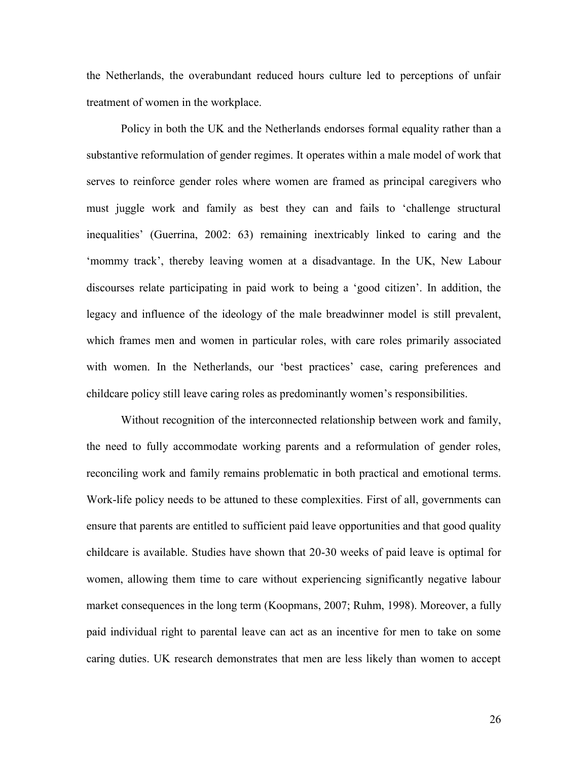the Netherlands, the overabundant reduced hours culture led to perceptions of unfair treatment of women in the workplace.

Policy in both the UK and the Netherlands endorses formal equality rather than a substantive reformulation of gender regimes. It operates within a male model of work that serves to reinforce gender roles where women are framed as principal caregivers who must juggle work and family as best they can and fails to 'challenge structural inequalities' (Guerrina, 2002: 63) remaining inextricably linked to caring and the ‗mommy track', thereby leaving women at a disadvantage. In the UK, New Labour discourses relate participating in paid work to being a ‗good citizen'. In addition, the legacy and influence of the ideology of the male breadwinner model is still prevalent, which frames men and women in particular roles, with care roles primarily associated with women. In the Netherlands, our 'best practices' case, caring preferences and childcare policy still leave caring roles as predominantly women's responsibilities.

Without recognition of the interconnected relationship between work and family, the need to fully accommodate working parents and a reformulation of gender roles, reconciling work and family remains problematic in both practical and emotional terms. Work-life policy needs to be attuned to these complexities. First of all, governments can ensure that parents are entitled to sufficient paid leave opportunities and that good quality childcare is available. Studies have shown that 20-30 weeks of paid leave is optimal for women, allowing them time to care without experiencing significantly negative labour market consequences in the long term (Koopmans, 2007; Ruhm, 1998). Moreover, a fully paid individual right to parental leave can act as an incentive for men to take on some caring duties. UK research demonstrates that men are less likely than women to accept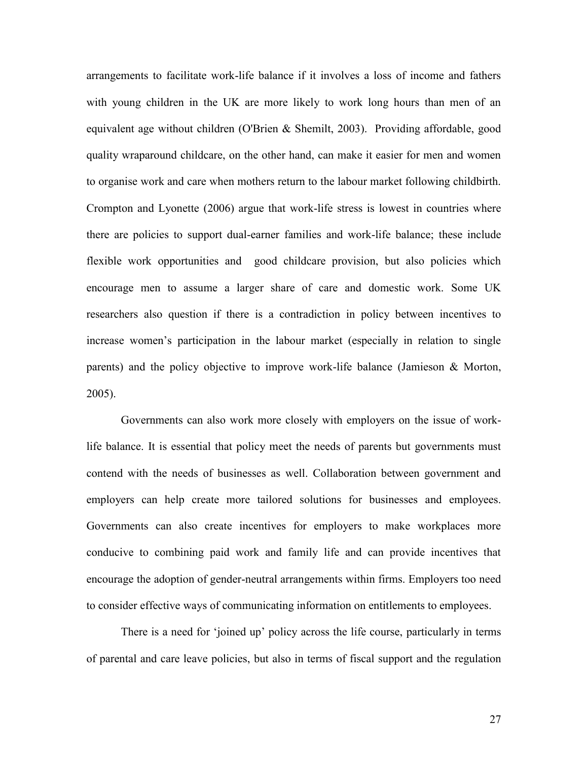arrangements to facilitate work-life balance if it involves a loss of income and fathers with young children in the UK are more likely to work long hours than men of an equivalent age without children (O'Brien & Shemilt, 2003). Providing affordable, good quality wraparound childcare, on the other hand, can make it easier for men and women to organise work and care when mothers return to the labour market following childbirth. Crompton and Lyonette (2006) argue that work-life stress is lowest in countries where there are policies to support dual-earner families and work-life balance; these include flexible work opportunities and good childcare provision, but also policies which encourage men to assume a larger share of care and domestic work. Some UK researchers also question if there is a contradiction in policy between incentives to increase women's participation in the labour market (especially in relation to single parents) and the policy objective to improve work-life balance (Jamieson & Morton, 2005).

Governments can also work more closely with employers on the issue of worklife balance. It is essential that policy meet the needs of parents but governments must contend with the needs of businesses as well. Collaboration between government and employers can help create more tailored solutions for businesses and employees. Governments can also create incentives for employers to make workplaces more conducive to combining paid work and family life and can provide incentives that encourage the adoption of gender-neutral arrangements within firms. Employers too need to consider effective ways of communicating information on entitlements to employees.

There is a need for 'joined up' policy across the life course, particularly in terms of parental and care leave policies, but also in terms of fiscal support and the regulation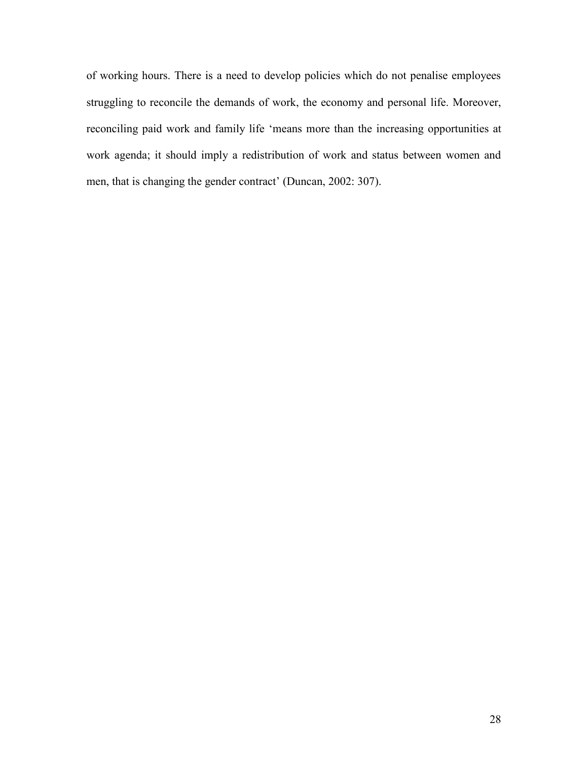of working hours. There is a need to develop policies which do not penalise employees struggling to reconcile the demands of work, the economy and personal life. Moreover, reconciling paid work and family life 'means more than the increasing opportunities at work agenda; it should imply a redistribution of work and status between women and men, that is changing the gender contract' (Duncan, 2002: 307).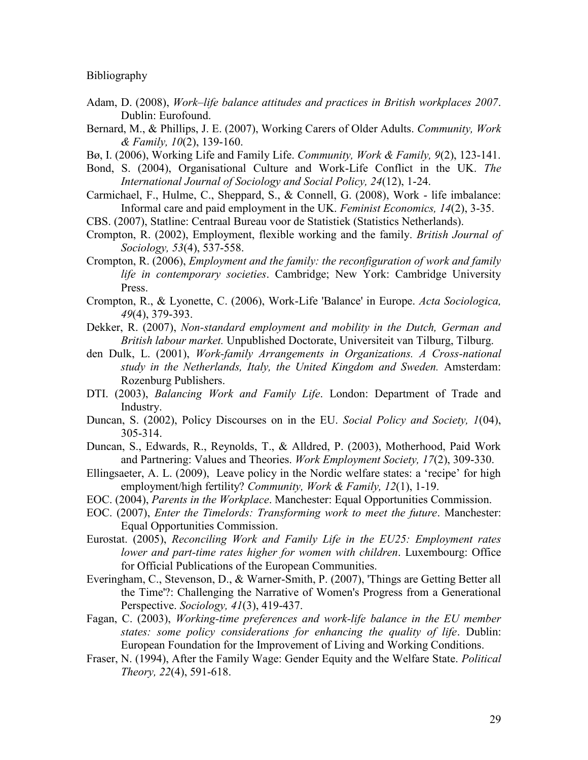Bibliography

- Adam, D. (2008), *Work–life balance attitudes and practices in British workplaces 2007*. Dublin: Eurofound.
- Bernard, M., & Phillips, J. E. (2007), Working Carers of Older Adults. *Community, Work & Family, 10*(2), 139-160.
- Bø, I. (2006), Working Life and Family Life. *Community, Work & Family, 9*(2), 123-141.
- Bond, S. (2004), Organisational Culture and Work-Life Conflict in the UK. *The International Journal of Sociology and Social Policy, 24*(12), 1-24.
- Carmichael, F., Hulme, C., Sheppard, S., & Connell, G. (2008), Work life imbalance: Informal care and paid employment in the UK. *Feminist Economics, 14*(2), 3-35.
- CBS. (2007), Statline: Centraal Bureau voor de Statistiek (Statistics Netherlands).
- Crompton, R. (2002), Employment, flexible working and the family. *British Journal of Sociology, 53*(4), 537-558.
- Crompton, R. (2006), *Employment and the family: the reconfiguration of work and family life in contemporary societies*. Cambridge; New York: Cambridge University Press.
- Crompton, R., & Lyonette, C. (2006), Work-Life 'Balance' in Europe. *Acta Sociologica, 49*(4), 379-393.
- Dekker, R. (2007), *Non-standard employment and mobility in the Dutch, German and British labour market.* Unpublished Doctorate, Universiteit van Tilburg, Tilburg.
- den Dulk, L. (2001), *Work-family Arrangements in Organizations. A Cross-national study in the Netherlands, Italy, the United Kingdom and Sweden.* Amsterdam: Rozenburg Publishers.
- DTI. (2003), *Balancing Work and Family Life*. London: Department of Trade and Industry.
- Duncan, S. (2002), Policy Discourses on in the EU. *Social Policy and Society, 1*(04), 305-314.
- Duncan, S., Edwards, R., Reynolds, T., & Alldred, P. (2003), Motherhood, Paid Work and Partnering: Values and Theories. *Work Employment Society, 17*(2), 309-330.
- Ellingsaeter, A. L. (2009), Leave policy in the Nordic welfare states: a 'recipe' for high employment/high fertility? *Community, Work & Family, 12*(1), 1-19.
- EOC. (2004), *Parents in the Workplace*. Manchester: Equal Opportunities Commission.
- EOC. (2007), *Enter the Timelords: Transforming work to meet the future*. Manchester: Equal Opportunities Commission.
- Eurostat. (2005), *Reconciling Work and Family Life in the EU25: Employment rates lower and part-time rates higher for women with children*. Luxembourg: Office for Official Publications of the European Communities.
- Everingham, C., Stevenson, D., & Warner-Smith, P. (2007), 'Things are Getting Better all the Time'?: Challenging the Narrative of Women's Progress from a Generational Perspective. *Sociology, 41*(3), 419-437.
- Fagan, C. (2003), *Working-time preferences and work-life balance in the EU member states: some policy considerations for enhancing the quality of life*. Dublin: European Foundation for the Improvement of Living and Working Conditions.
- Fraser, N. (1994), After the Family Wage: Gender Equity and the Welfare State. *Political Theory, 22*(4), 591-618.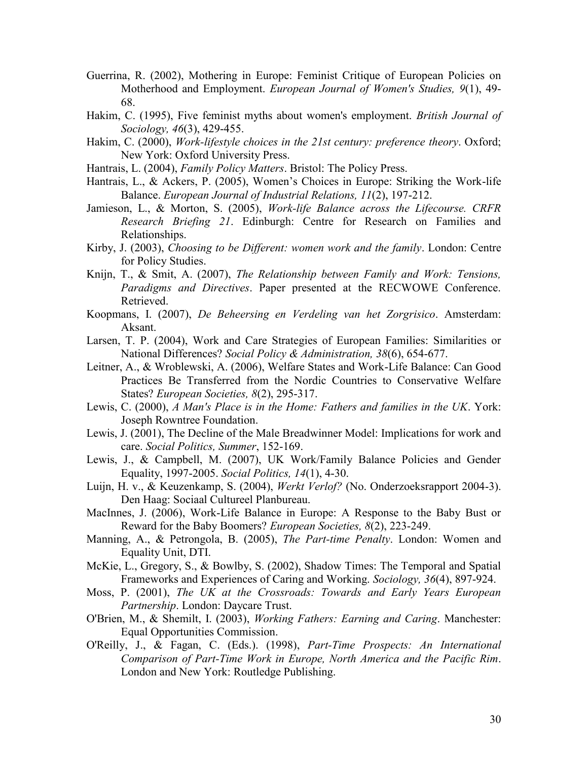- Guerrina, R. (2002), Mothering in Europe: Feminist Critique of European Policies on Motherhood and Employment. *European Journal of Women's Studies, 9*(1), 49- 68.
- Hakim, C. (1995), Five feminist myths about women's employment. *British Journal of Sociology, 46*(3), 429-455.
- Hakim, C. (2000), *Work-lifestyle choices in the 21st century: preference theory*. Oxford; New York: Oxford University Press.
- Hantrais, L. (2004), *Family Policy Matters*. Bristol: The Policy Press.
- Hantrais, L., & Ackers, P. (2005), Women's Choices in Europe: Striking the Work-life Balance. *European Journal of Industrial Relations, 11*(2), 197-212.
- Jamieson, L., & Morton, S. (2005), *Work-life Balance across the Lifecourse. CRFR Research Briefing 21*. Edinburgh: Centre for Research on Families and Relationships.
- Kirby, J. (2003), *Choosing to be Different: women work and the family*. London: Centre for Policy Studies.
- Knijn, T., & Smit, A. (2007), *The Relationship between Family and Work: Tensions, Paradigms and Directives*. Paper presented at the RECWOWE Conference. Retrieved.
- Koopmans, I. (2007), *De Beheersing en Verdeling van het Zorgrisico*. Amsterdam: Aksant.
- Larsen, T. P. (2004), Work and Care Strategies of European Families: Similarities or National Differences? *Social Policy & Administration, 38*(6), 654-677.
- Leitner, A., & Wroblewski, A. (2006), Welfare States and Work-Life Balance: Can Good Practices Be Transferred from the Nordic Countries to Conservative Welfare States? *European Societies, 8*(2), 295-317.
- Lewis, C. (2000), *A Man's Place is in the Home: Fathers and families in the UK*. York: Joseph Rowntree Foundation.
- Lewis, J. (2001), The Decline of the Male Breadwinner Model: Implications for work and care. *Social Politics, Summer*, 152-169.
- Lewis, J., & Campbell, M. (2007), UK Work/Family Balance Policies and Gender Equality, 1997-2005. *Social Politics, 14*(1), 4-30.
- Luijn, H. v., & Keuzenkamp, S. (2004), *Werkt Verlof?* (No. Onderzoeksrapport 2004-3). Den Haag: Sociaal Cultureel Planbureau.
- MacInnes, J. (2006), Work-Life Balance in Europe: A Response to the Baby Bust or Reward for the Baby Boomers? *European Societies, 8*(2), 223-249.
- Manning, A., & Petrongola, B. (2005), *The Part-time Penalty*. London: Women and Equality Unit, DTI.
- McKie, L., Gregory, S., & Bowlby, S. (2002), Shadow Times: The Temporal and Spatial Frameworks and Experiences of Caring and Working. *Sociology, 36*(4), 897-924.
- Moss, P. (2001), *The UK at the Crossroads: Towards and Early Years European Partnership*. London: Daycare Trust.
- O'Brien, M., & Shemilt, I. (2003), *Working Fathers: Earning and Caring*. Manchester: Equal Opportunities Commission.
- O'Reilly, J., & Fagan, C. (Eds.). (1998), *Part-Time Prospects: An International Comparison of Part-Time Work in Europe, North America and the Pacific Rim*. London and New York: Routledge Publishing.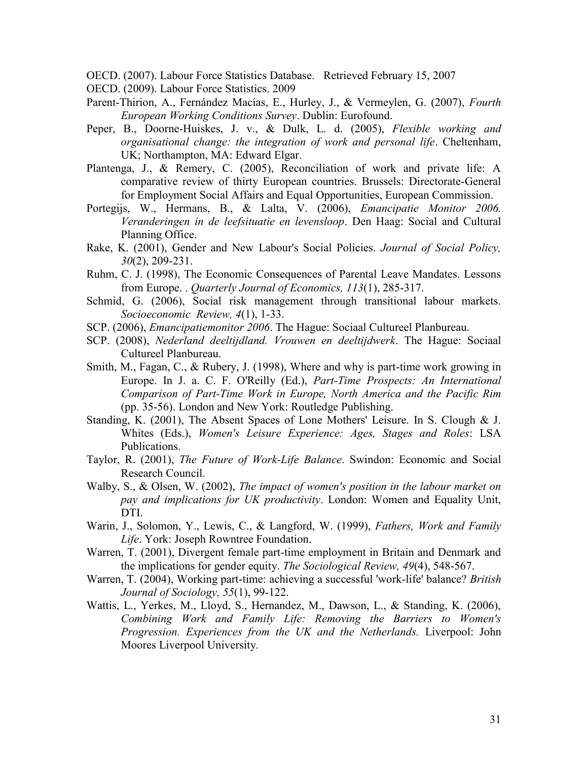- OECD. (2007). Labour Force Statistics Database. Retrieved February 15, 2007
- OECD. (2009). Labour Force Statistics. 2009
- Parent-Thirion, A., Fernández Macías, E., Hurley, J., & Vermeylen, G. (2007), *Fourth European Working Conditions Survey*. Dublin: Eurofound.
- Peper, B., Doorne-Huiskes, J. v., & Dulk, L. d. (2005), *Flexible working and organisational change: the integration of work and personal life*. Cheltenham, UK; Northampton, MA: Edward Elgar.
- Plantenga, J., & Remery, C. (2005), Reconciliation of work and private life: A comparative review of thirty European countries. Brussels: Directorate-General for Employment Social Affairs and Equal Opportunities, European Commission.
- Portegijs, W., Hermans, B., & Lalta, V. (2006), *Emancipatie Monitor 2006. Veranderingen in de leefsituatie en levensloop*. Den Haag: Social and Cultural Planning Office.
- Rake, K. (2001), Gender and New Labour's Social Policies. *Journal of Social Policy, 30*(2), 209-231.
- Ruhm, C. J. (1998), The Economic Consequences of Parental Leave Mandates. Lessons from Europe. . *Quarterly Journal of Economics, 113*(1), 285-317.
- Schmid, G. (2006), Social risk management through transitional labour markets. *Socioeconomic Review, 4*(1), 1-33.
- SCP. (2006), *Emancipatiemonitor 2006*. The Hague: Sociaal Cultureel Planbureau.
- SCP. (2008), *Nederland deeltijdland. Vrouwen en deeltijdwerk*. The Hague: Sociaal Cultureel Planbureau.
- Smith, M., Fagan, C., & Rubery, J. (1998), Where and why is part-time work growing in Europe. In J. a. C. F. O'Reilly (Ed.), *Part-Time Prospects: An International Comparison of Part-Time Work in Europe, North America and the Pacific Rim* (pp. 35-56). London and New York: Routledge Publishing.
- Standing, K. (2001), The Absent Spaces of Lone Mothers' Leisure. In S. Clough & J. Whites (Eds.), *Women's Leisure Experience: Ages, Stages and Roles*: LSA Publications.
- Taylor, R. (2001), *The Future of Work-Life Balance*. Swindon: Economic and Social Research Council.
- Walby, S., & Olsen, W. (2002), *The impact of women's position in the labour market on pay and implications for UK productivity*. London: Women and Equality Unit, DTI.
- Warin, J., Solomon, Y., Lewis, C., & Langford, W. (1999), *Fathers, Work and Family Life*. York: Joseph Rowntree Foundation.
- Warren, T. (2001), Divergent female part-time employment in Britain and Denmark and the implications for gender equity. *The Sociological Review, 49*(4), 548-567.
- Warren, T. (2004), Working part-time: achieving a successful 'work-life' balance? *British Journal of Sociology, 55*(1), 99-122.
- Wattis, L., Yerkes, M., Lloyd, S., Hernandez, M., Dawson, L., & Standing, K. (2006), *Combining Work and Family Life: Removing the Barriers to Women's Progression. Experiences from the UK and the Netherlands.* Liverpool: John Moores Liverpool University.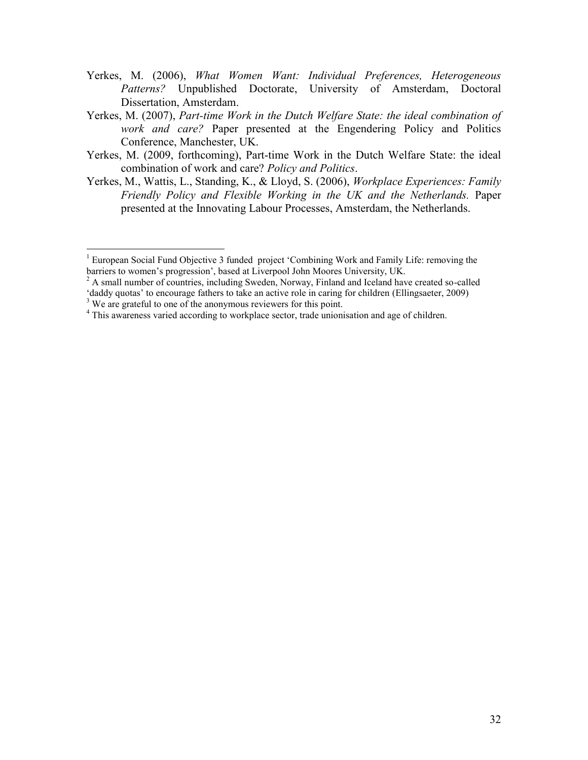- Yerkes, M. (2006), *What Women Want: Individual Preferences, Heterogeneous Patterns?* Unpublished Doctorate, University of Amsterdam, Doctoral Dissertation, Amsterdam.
- Yerkes, M. (2007), *Part-time Work in the Dutch Welfare State: the ideal combination of work and care?* Paper presented at the Engendering Policy and Politics Conference, Manchester, UK.
- Yerkes, M. (2009, forthcoming), Part-time Work in the Dutch Welfare State: the ideal combination of work and care? *Policy and Politics*.
- Yerkes, M., Wattis, L., Standing, K., & Lloyd, S. (2006), *Workplace Experiences: Family Friendly Policy and Flexible Working in the UK and the Netherlands.* Paper presented at the Innovating Labour Processes, Amsterdam, the Netherlands.

 $\overline{a}$ 

<sup>&</sup>lt;sup>1</sup> European Social Fund Objective 3 funded project 'Combining Work and Family Life: removing the barriers to women's progression', based at Liverpool John Moores University, UK.

<sup>&</sup>lt;sup>2</sup> A small number of countries, including Sweden, Norway, Finland and Iceland have created so-called ‗daddy quotas' to encourage fathers to take an active role in caring for children (Ellingsaeter, 2009)

<sup>&</sup>lt;sup>3</sup> We are grateful to one of the anonymous reviewers for this point.

<sup>&</sup>lt;sup>4</sup> This awareness varied according to workplace sector, trade unionisation and age of children.